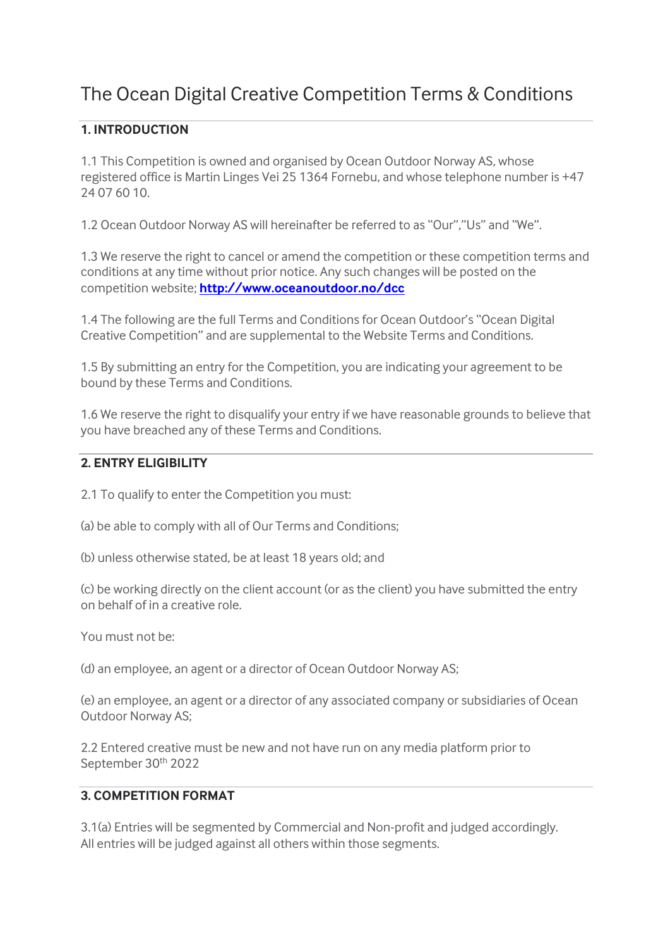# The Ocean Digital Creative Competition Terms & Conditions

# **1. INTRODUCTION**

1.1 This Competition is owned and organised by Ocean Outdoor Norway AS, whose registered office is Martin Linges Vei 25 1364 Fornebu, and whose telephone number is +47 24 07 60 10.

1.2 Ocean Outdoor Norway AS will hereinafter be referred to as "Our","Us" and "We".

1.3 We reserve the right to cancel or amend the competition or these competition terms and conditions at any time without prior notice. Any such changes will be posted on the competition website; **http://www.oceanoutdoor.no/dcc**

1.4 The following are the full Terms and Conditions for Ocean Outdoor's "Ocean Digital Creative Competition" and are supplemental to the Website Terms and Conditions.

1.5 By submitting an entry for the Competition, you are indicating your agreement to be bound by these Terms and Conditions.

1.6 We reserve the right to disqualify your entry if we have reasonable grounds to believe that you have breached any of these Terms and Conditions.

## **2. ENTRY ELIGIBILITY**

2.1 To qualify to enter the Competition you must:

(a) be able to comply with all of Our Terms and Conditions;

(b) unless otherwise stated, be at least 18 years old; and

(c) be working directly on the client account (or as the client) you have submitted the entry on behalf of in a creative role.

You must not be:

(d) an employee, an agent or a director of Ocean Outdoor Norway AS;

(e) an employee, an agent or a director of any associated company or subsidiaries of Ocean Outdoor Norway AS;

2.2 Entered creative must be new and not have run on any media platform prior to September 30<sup>th</sup> 2022

# **3. COMPETITION FORMAT**

3.1(a) Entries will be segmented by Commercial and Non-profit and judged accordingly. All entries will be judged against all others within those segments.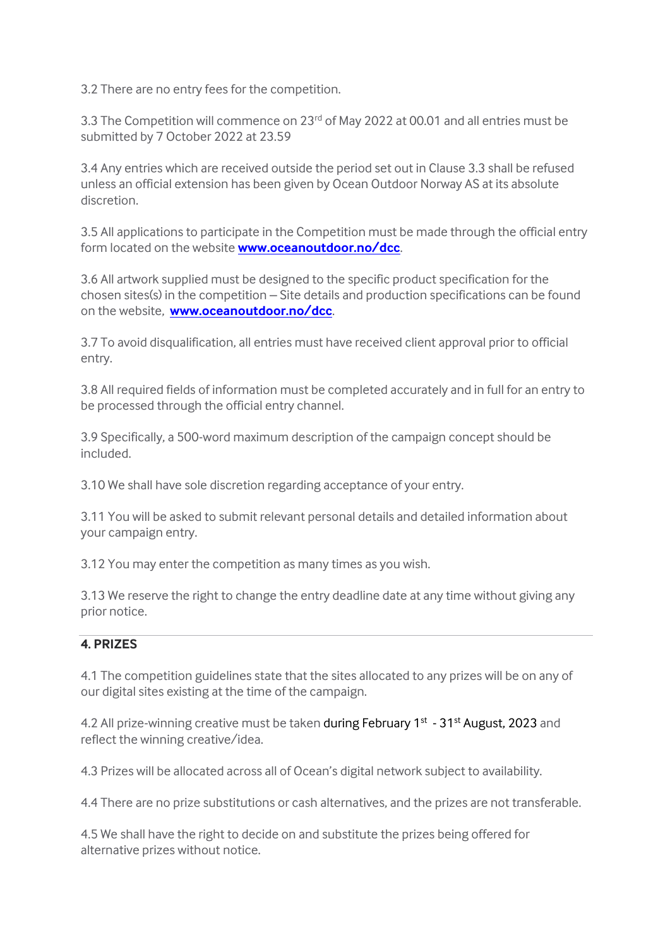3.2 There are no entry fees for the competition.

3.3 The Competition will commence on 23rd of May 2022 at 00.01 and all entries must be submitted by 7 October 2022 at 23.59

3.4 Any entries which are received outside the period set out in Clause 3.3 shall be refused unless an official extension has been given by Ocean Outdoor Norway AS at its absolute discretion.

3.5 All applications to participate in the Competition must be made through the official entry form located on the website **www.oceanoutdoor.no/dcc**.

3.6 All artwork supplied must be designed to the specific product specification for the chosen sites(s) in the competition – Site details and production specifications can be found on the website, **www.oceanoutdoor.no/dcc**.

3.7 To avoid disqualification, all entries must have received client approval prior to official entry.

3.8 All required fields of information must be completed accurately and in full for an entry to be processed through the official entry channel.

3.9 Specifically, a 500-word maximum description of the campaign concept should be included.

3.10 We shall have sole discretion regarding acceptance of your entry.

3.11 You will be asked to submit relevant personal details and detailed information about your campaign entry.

3.12 You may enter the competition as many times as you wish.

3.13 We reserve the right to change the entry deadline date at any time without giving any prior notice.

#### **4. PRIZES**

4.1 The competition guidelines state that the sites allocated to any prizes will be on any of our digital sites existing at the time of the campaign.

4.2 All prize-winning creative must be taken during February 1<sup>st</sup> - 31<sup>st</sup> August, 2023 and reflect the winning creative/idea.

4.3 Prizes will be allocated across all of Ocean's digital network subject to availability.

4.4 There are no prize substitutions or cash alternatives, and the prizes are not transferable.

4.5 We shall have the right to decide on and substitute the prizes being offered for alternative prizes without notice.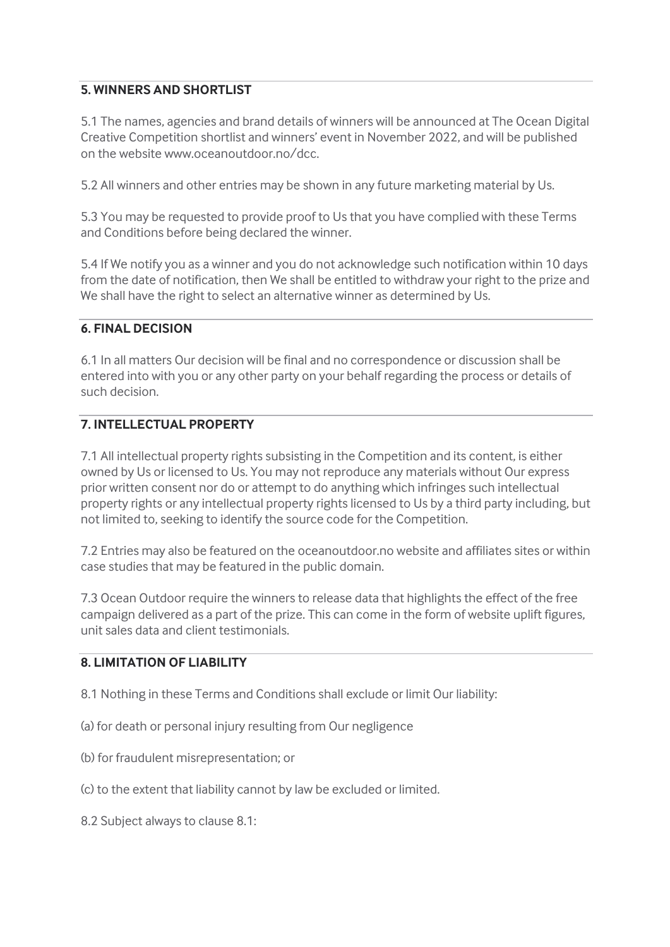# **5. WINNERS AND SHORTLIST**

5.1 The names, agencies and brand details of winners will be announced at The Ocean Digital Creative Competition shortlist and winners' event in November 2022, and will be published on the website www.oceanoutdoor.no/dcc.

5.2 All winners and other entries may be shown in any future marketing material by Us.

5.3 You may be requested to provide proof to Us that you have complied with these Terms and Conditions before being declared the winner.

5.4 If We notify you as a winner and you do not acknowledge such notification within 10 days from the date of notification, then We shall be entitled to withdraw your right to the prize and We shall have the right to select an alternative winner as determined by Us.

#### **6. FINAL DECISION**

6.1 In all matters Our decision will be final and no correspondence or discussion shall be entered into with you or any other party on your behalf regarding the process or details of such decision.

#### **7. INTELLECTUAL PROPERTY**

7.1 All intellectual property rights subsisting in the Competition and its content, is either owned by Us or licensed to Us. You may not reproduce any materials without Our express prior written consent nor do or attempt to do anything which infringes such intellectual property rights or any intellectual property rights licensed to Us by a third party including, but not limited to, seeking to identify the source code for the Competition.

7.2 Entries may also be featured on the oceanoutdoor.no website and affiliates sites or within case studies that may be featured in the public domain.

7.3 Ocean Outdoor require the winners to release data that highlights the effect of the free campaign delivered as a part of the prize. This can come in the form of website uplift figures, unit sales data and client testimonials.

# **8. LIMITATION OF LIABILITY**

8.1 Nothing in these Terms and Conditions shall exclude or limit Our liability:

- (a) for death or personal injury resulting from Our negligence
- (b) for fraudulent misrepresentation; or
- (c) to the extent that liability cannot by law be excluded or limited.
- 8.2 Subject always to clause 8.1: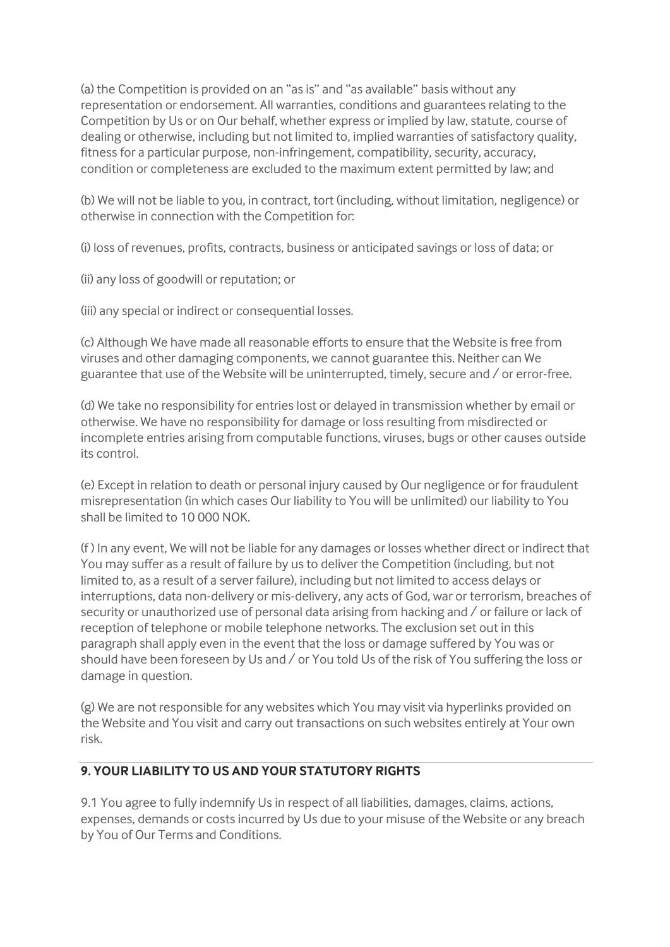(a) the Competition is provided on an "as is" and "as available" basis without any representation or endorsement. All warranties, conditions and guarantees relating to the Competition by Us or on Our behalf, whether express or implied by law, statute, course of dealing or otherwise, including but not limited to, implied warranties of satisfactory quality, fitness for a particular purpose, non-infringement, compatibility, security, accuracy, condition or completeness are excluded to the maximum extent permitted by law; and

(b) We will not be liable to you, in contract, tort (including, without limitation, negligence) or otherwise in connection with the Competition for:

(i) loss of revenues, profits, contracts, business or anticipated savings or loss of data; or

(ii) any loss of goodwill or reputation; or

(iii) any special or indirect or consequential losses.

(c) Although We have made all reasonable efforts to ensure that the Website is free from viruses and other damaging components, we cannot guarantee this. Neither can We guarantee that use of the Website will be uninterrupted, timely, secure and / or error-free.

(d) We take no responsibility for entries lost or delayed in transmission whether by email or otherwise. We have no responsibility for damage or loss resulting from misdirected or incomplete entries arising from computable functions, viruses, bugs or other causes outside its control.

(e) Except in relation to death or personal injury caused by Our negligence or for fraudulent misrepresentation (in which cases Our liability to You will be unlimited) our liability to You shall be limited to 10 000 NOK.

(f ) In any event, We will not be liable for any damages or losses whether direct or indirect that You may suffer as a result of failure by us to deliver the Competition (including, but not limited to, as a result of a server failure), including but not limited to access delays or interruptions, data non-delivery or mis-delivery, any acts of God, war or terrorism, breaches of security or unauthorized use of personal data arising from hacking and / or failure or lack of reception of telephone or mobile telephone networks. The exclusion set out in this paragraph shall apply even in the event that the loss or damage suffered by You was or should have been foreseen by Us and / or You told Us of the risk of You suffering the loss or damage in question.

(g) We are not responsible for any websites which You may visit via hyperlinks provided on the Website and You visit and carry out transactions on such websites entirely at Your own risk.

# **9. YOUR LIABILITY TO US AND YOUR STATUTORY RIGHTS**

9.1 You agree to fully indemnify Us in respect of all liabilities, damages, claims, actions, expenses, demands or costs incurred by Us due to your misuse of the Website or any breach by You of Our Terms and Conditions.